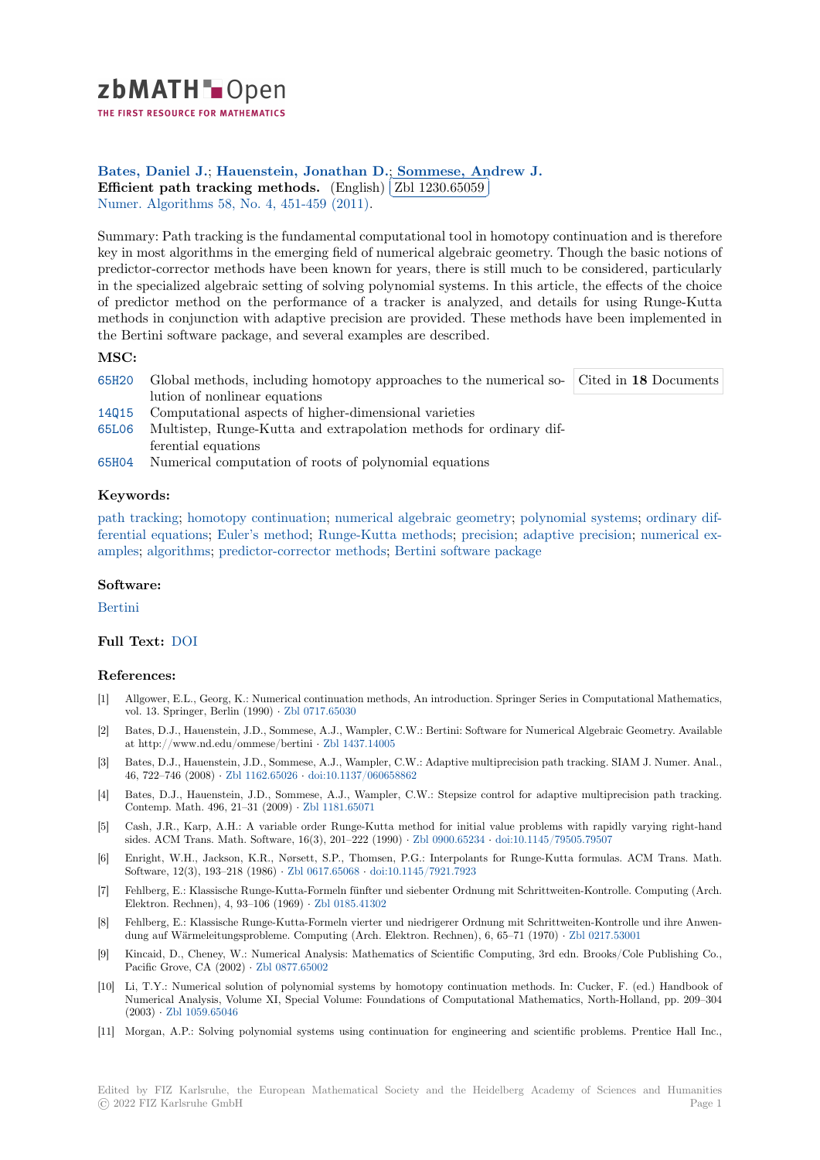

THE FIRST RESOURCE FOR MATHEMATICS

# Bates, Daniel J.; Hauenstein, Jonathan D.; Sommese, Andrew J.

**[E](https://zbmath.org/)fficient path tracking methods.** (English)  $\boxed{\text{Zbl 1230.65059}}$ <br>Numer, Algorithms 58, No. 4, 451, 450, (2011). Į. Numer. Algorithms 58, No. 4, 451-459 (2011).

[Summary: Path tra](https://zbmath.org/authors/?q=ai:bates.daniel-j)[cking is the fundamental comp](https://zbmath.org/authors/?q=ai:hauenstein.jonathan-d)[utational tool in homotopy](https://zbmath.org/authors/?q=ai:sommese.andrew-john) continuation and is therefore [key in most algorithms in the emergin](https://zbmath.org/1230.65059)g field of n[umerical algebraic](https://zbmath.org/1230.65059) geometry. Though the basic notions of [predictor-corrector](https://zbmath.org/journals/?q=se:1417) [methods have been known](https://zbmath.org/?q=in:290192) for years, there is still much to be considered, particularly in the specialized algebraic setting of solving polynomial systems. In this article, the effects of the choice of predictor method on the performance of a tracker is analyzed, and details for using Runge-Kutta methods in conjunction with adaptive precision are provided. These methods have been implemented in the Bertini software package, and several examples are described.

## **MSC:**

- 65H20 Global methods, including homotopy approaches to the numerical so-Cited in **18** Documents lution of nonlinear equations
- 14Q15 Computational aspects of higher-dimensional varieties
- 65L06 Multistep, Runge-Kutta and extrapolation methods for ordinary differential equations
- [65H04](https://zbmath.org/classification/?q=cc:65H20) Numerical computation of roots of polynomial equations

### **[Keyw](https://zbmath.org/classification/?q=cc:65L06)ords:**

path tracking; homotopy continuation; numerical algebraic geometry; polynomial systems; ordinary dif[ferenti](https://zbmath.org/classification/?q=cc:65H04)al equations; Euler's method; Runge-Kutta methods; precision; adaptive precision; numerical examples; algorithms; predictor-corrector methods; Bertini software package

#### **[Software:](https://zbmath.org/?q=ut:path+tracking)**

[Bertini](https://zbmath.org/?q=ut:ordinary+differential+equations)

## **Full Text:** DOI

#### **[Refere](https://swmath.org/software/6683)nces:**

- [1] Allgower, E.L., Georg, K.: Numerical continuation methods, An introduction. Springer Series in Computational Mathematics, vol. 13. S[pringe](https://dx.doi.org/10.1007/s11075-011-9463-8)r, Berlin (1990) *·* Zbl 0717.65030
- [2] Bates, D.J., Hauenstein, J.D., Sommese, A.J., Wampler, C.W.: Bertini: Software for Numerical Algebraic Geometry. Available at http://www.nd.edu/ommese/bertini *·* Zbl 1437.14005
- [3] Bates, D.J., Hauenstein, J.D., Sommese, A.J., Wampler, C.W.: Adaptive multiprecision path tracking. SIAM J. Numer. Anal., 46, 722–746 (2008) *·* Zbl 1162.65026 *·* [doi:10.1137](https://zbmath.org/0717.65030)/060658862
- [4] Bates, D.J., Hauenstein, J.D., Sommese, A.J., Wampler, C.W.: Stepsize control for adaptive multiprecision path tracking. Contemp. Math. 496, 21–31 (2009) *·* Zbl [1181.65071](https://zbmath.org/1437.14005)
- [5] Cash, J.R., Karp, A.H.: A variable order Runge-Kutta method for initial value problems with rapidly varying right-hand sides. ACM Trans. [Math. Software,](https://zbmath.org/1162.65026) 1[6\(3\), 201–222 \(1990\)](https://dx.doi.org/10.1137/060658862) *·* Zbl 0900.65234 *·* doi:10.1145/79505.79507
- [6] Enright, W.H., Jackson, K.R., Nørsett, S.P., Thomsen, P.G.: Interpolants for Runge-Kutta formulas. ACM Trans. Math. Software, 12(3), 193–218 (1986) *·* Zb[l 0617.65068](https://zbmath.org/1181.65071) *·* doi:10.1145/7921.7923
- [7] Fehlberg, E.: Klassische Runge-Kutta-Formeln fünfter und siebenter Ordnung mit Schrittweiten-Kontrolle. Computing (Arch. Elektron. Rechnen), 4, 93–106 (1969) *·* Zbl 0185.41302
- [8] Fehlberg, E.: Klassische Runge-Kutta-Formeln vierter und niedrigerer Ordnung mit Schrittweiten-Kontrolle und ihre Anwendung auf Wärmeleitungsprobleme[. Computing \(A](https://zbmath.org/0617.65068)r[ch. Elektron. Rechnen\)](https://dx.doi.org/10.1145/7921.7923), 6, 65–71 (1970) *·* Zbl 0217.53001
- [9] Kincaid, D., Cheney, W.: Numerical Analysis: Mathematics of Scientific Computing, 3rd edn. Brooks/Cole Publishing Co., Pacific Grove, CA (2002) *·* Zbl 0877.65[002](https://zbmath.org/0185.41302)
- [10] Li, T.Y.: Numerical solution of polynomial systems by homotopy continuation methods. In: Cucker, F. (ed.) Handbook of Numerical Analysis, Volume XI, Special Volume: Foundations of Computational Mathemat[ics, North-Holla](https://zbmath.org/0217.53001)nd, pp. 209–304 (2003) *·* Zbl 1059.65046
- [11] Morgan, A.P.: Solving pol[ynomial system](https://zbmath.org/0877.65002)s using continuation for engineering and scientific problems. Prentice Hall Inc.,